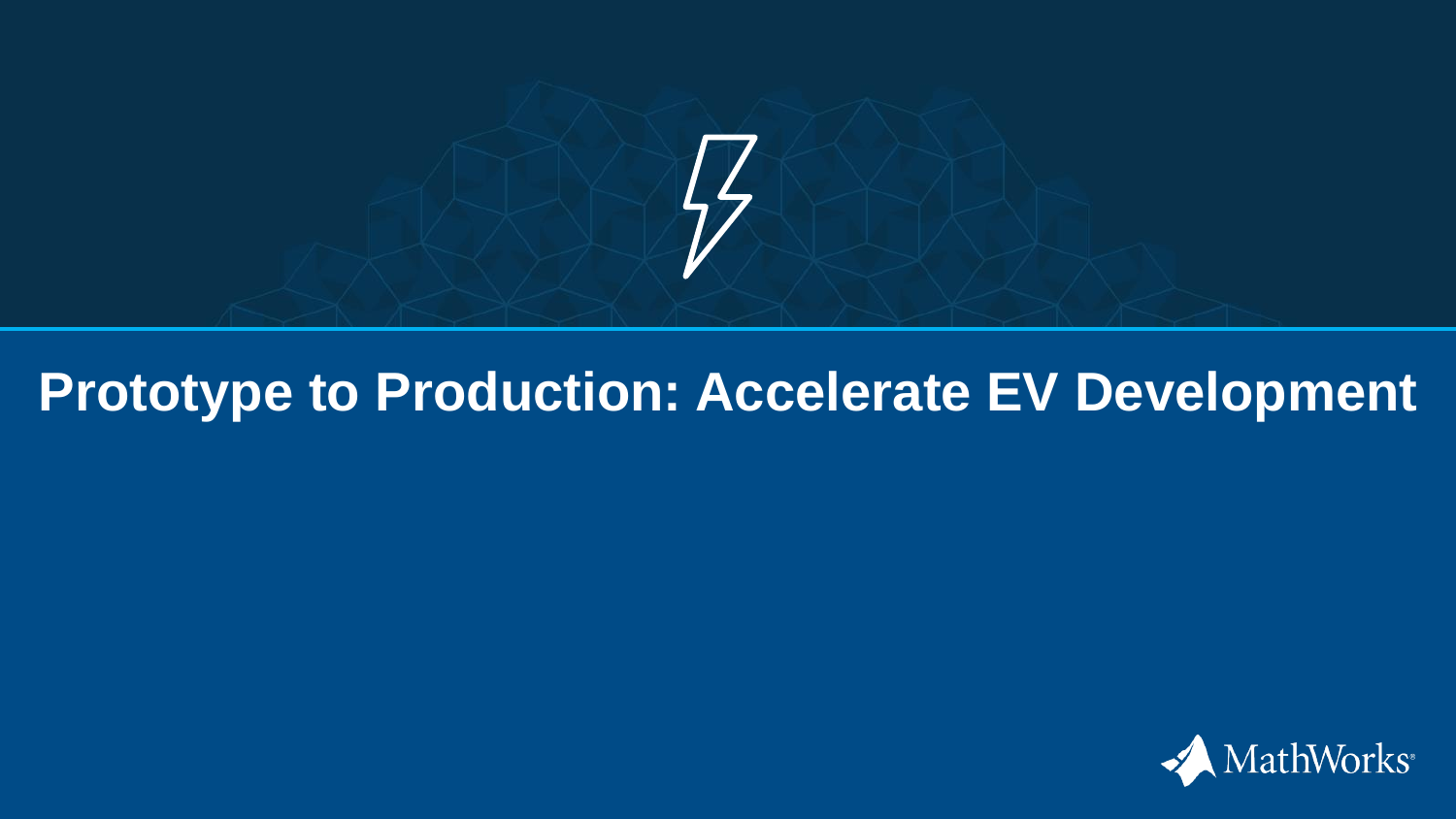

# **Prototype to Production: Accelerate EV Development**

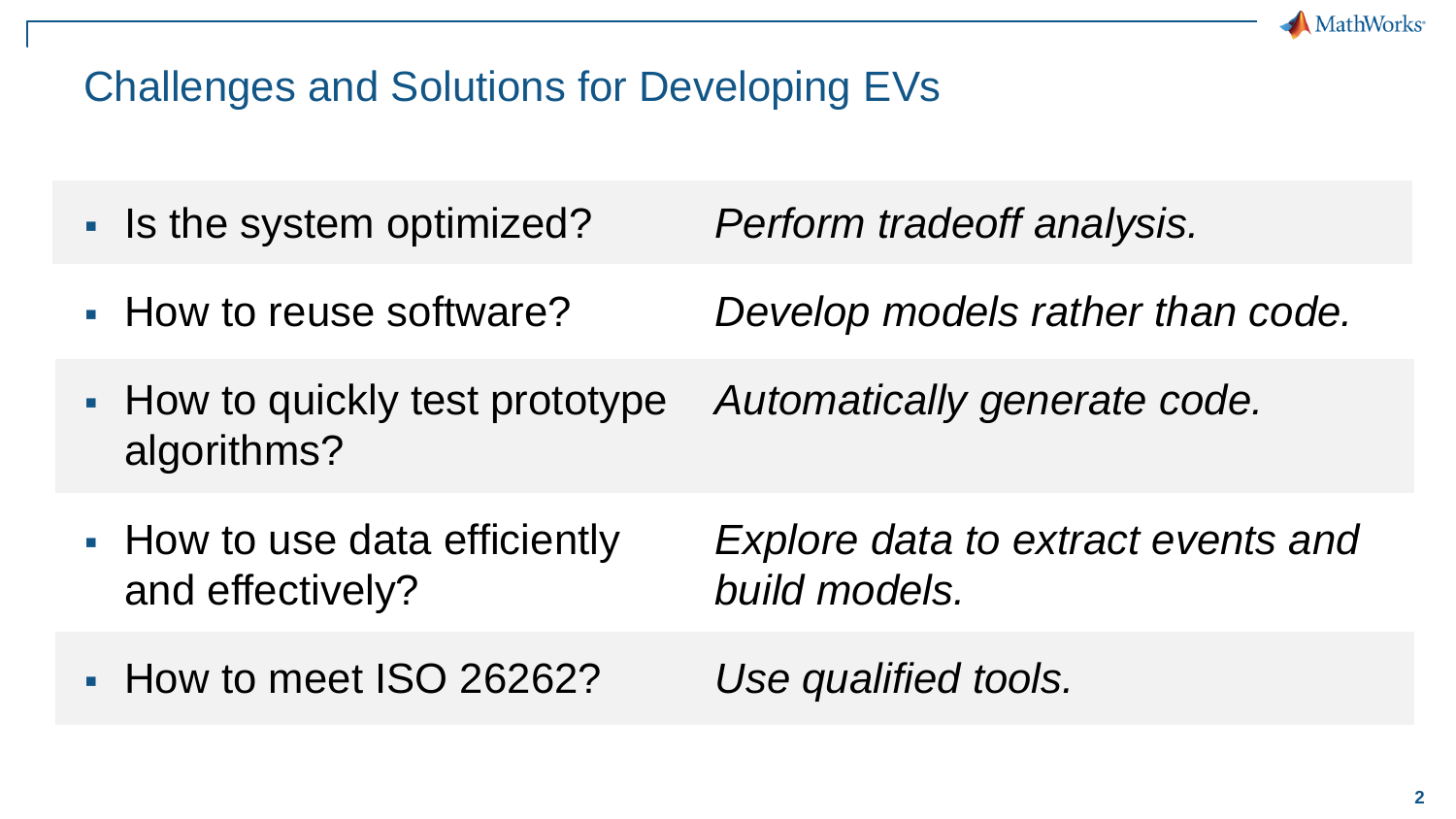

### Challenges and Solutions for Developing EVs

- Is the system optimized?
- How to reuse software?

*Perform tradeoff analysis.*

*Develop models rather than code.*

■ How to quickly test prototype algorithms?

*Automatically generate code.*

■ How to use data efficiently and effectively?

*Explore data to extract events and build models.*

■ How to meet ISO 26262?

*Use qualified tools.*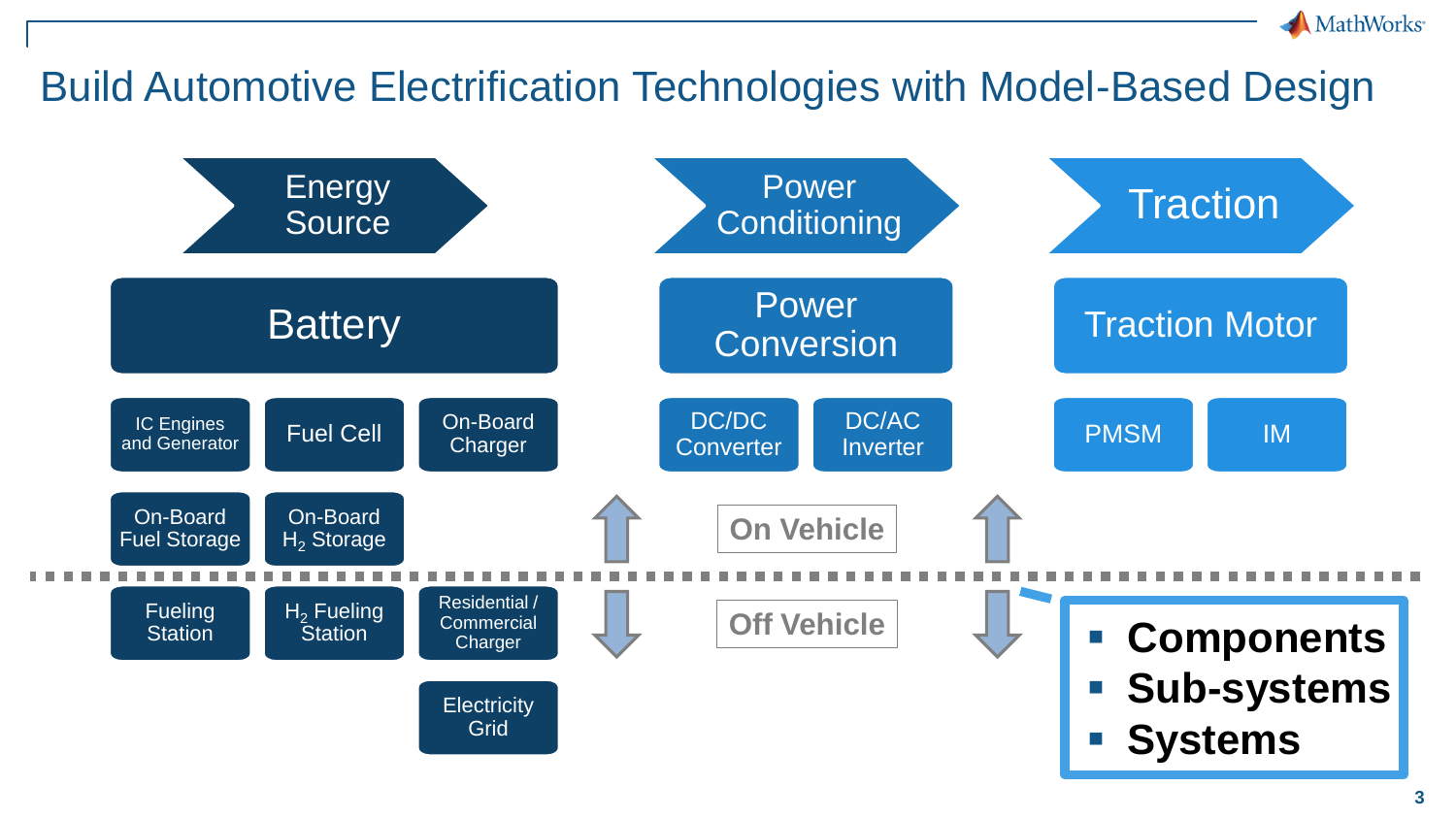## Build Automotive Electrification Technologies with Model-Based Design



**MathWorks**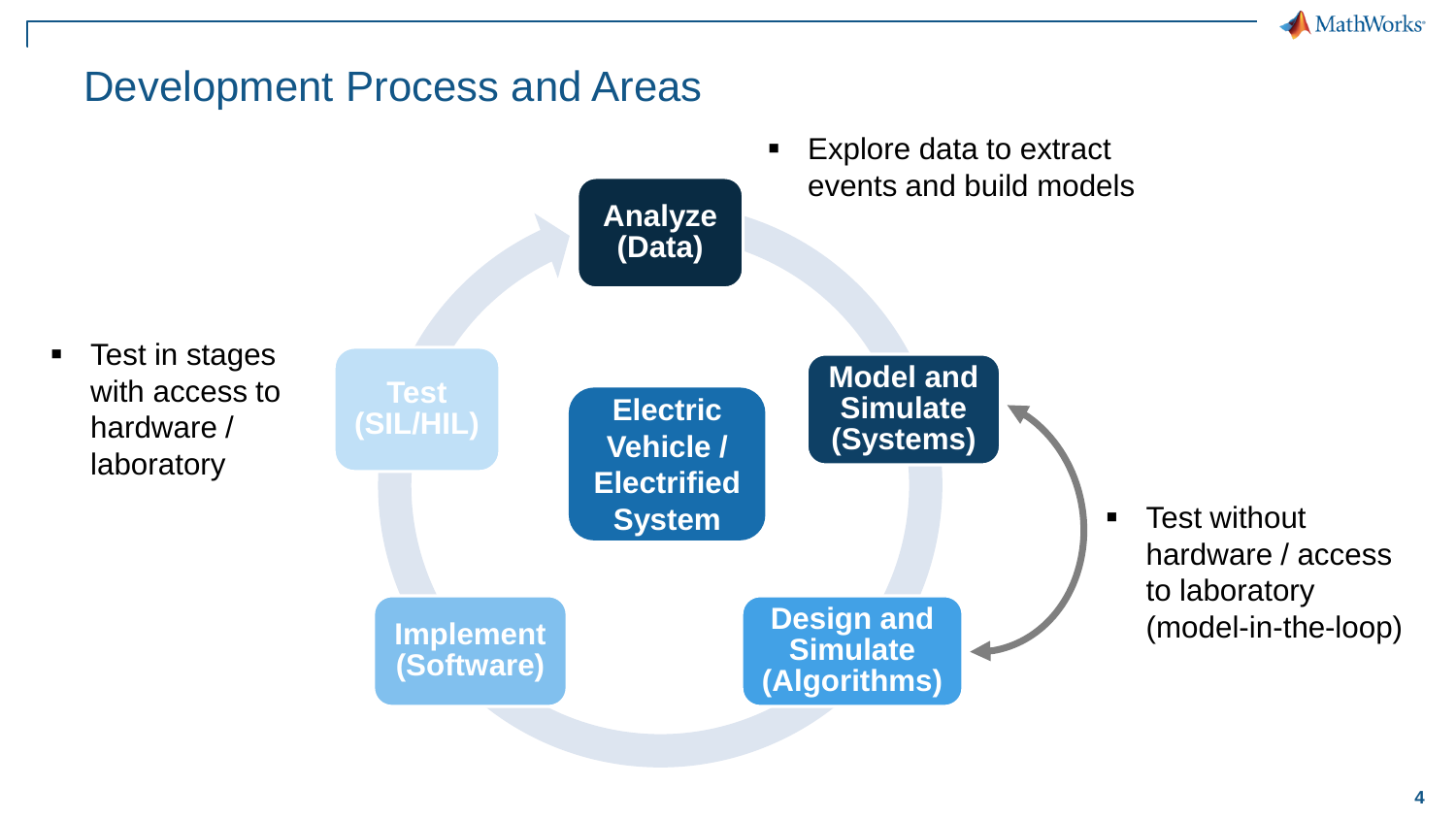

#### Development Process and Areas

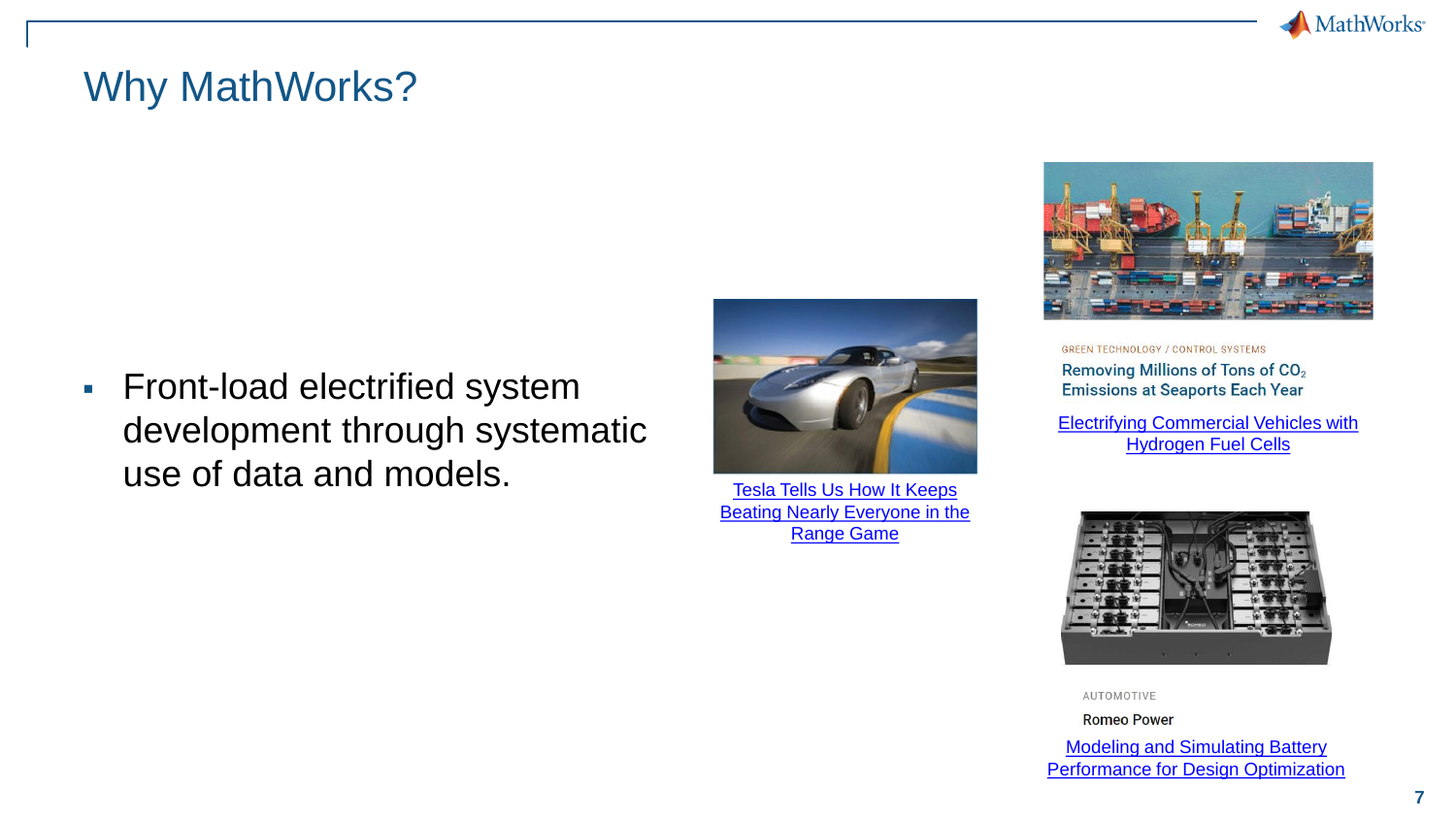

#### Why MathWorks?

**Example 2018** Front-load electrified system development through systematic use of data and models.



Tesla Tells Us How It Keeps **Beating Nearly Everyone in the** Range Game



**GREEN TECHNOLOGY / CONTROL SYSTEMS** Removing Millions of Tons of CO<sub>2</sub> **Emissions at Seaports Each Year** 

[Electrifying Commercial Vehicles with](https://www.mathworks.com/company/mathworks-stories/reducing-commercial-vehicle-emissions-using-hydrogen-fuel-cells.html)  Hydrogen Fuel Cells



AUTOMOTIVE

**Romeo Power** 

Modeling and Simulating Battery [Performance for Design Optimization](https://www.mathworks.com/company/newsletters/articles/modeling-and-simulating-battery-performance-for-design-optimization.html)